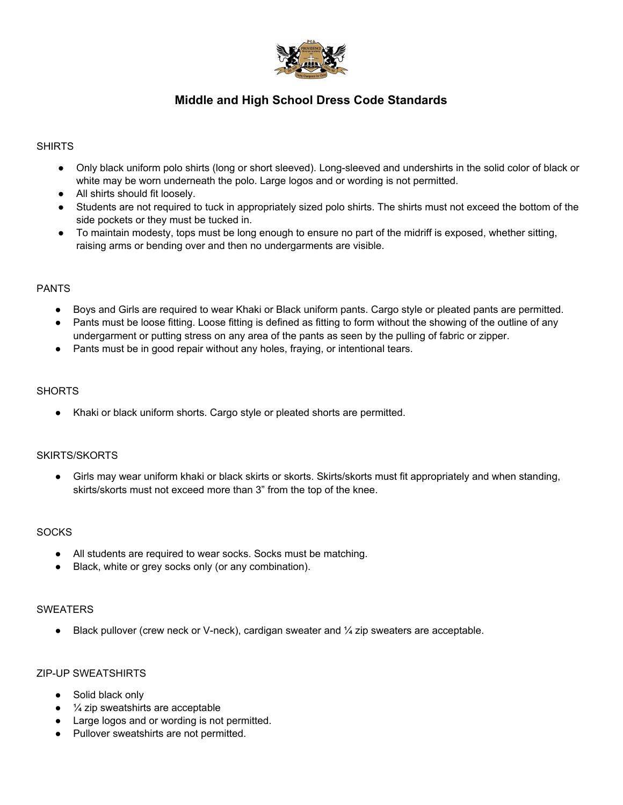

# **Middle and High School Dress Code Standards**

# SHIRTS

- Only black uniform polo shirts (long or short sleeved). Long-sleeved and undershirts in the solid color of black or white may be worn underneath the polo. Large logos and or wording is not permitted.
- All shirts should fit loosely.
- Students are not required to tuck in appropriately sized polo shirts. The shirts must not exceed the bottom of the side pockets or they must be tucked in.
- To maintain modesty, tops must be long enough to ensure no part of the midriff is exposed, whether sitting, raising arms or bending over and then no undergarments are visible.

#### PANTS

- Boys and Girls are required to wear Khaki or Black uniform pants. Cargo style or pleated pants are permitted.
- Pants must be loose fitting. Loose fitting is defined as fitting to form without the showing of the outline of any undergarment or putting stress on any area of the pants as seen by the pulling of fabric or zipper.
- Pants must be in good repair without any holes, fraying, or intentional tears.

# **SHORTS**

Khaki or black uniform shorts. Cargo style or pleated shorts are permitted.

# SKIRTS/SKORTS

● Girls may wear uniform khaki or black skirts or skorts. Skirts/skorts must fit appropriately and when standing, skirts/skorts must not exceed more than 3" from the top of the knee.

#### **SOCKS**

- All students are required to wear socks. Socks must be matching.
- Black, white or grey socks only (or any combination).

#### SWEATERS

 $\bullet$  Black pullover (crew neck or V-neck), cardigan sweater and  $\frac{1}{4}$  zip sweaters are acceptable.

#### ZIP-UP SWEATSHIRTS

- Solid black only
- $\bullet$   $\frac{1}{4}$  zip sweatshirts are acceptable
- Large logos and or wording is not permitted.
- Pullover sweatshirts are not permitted.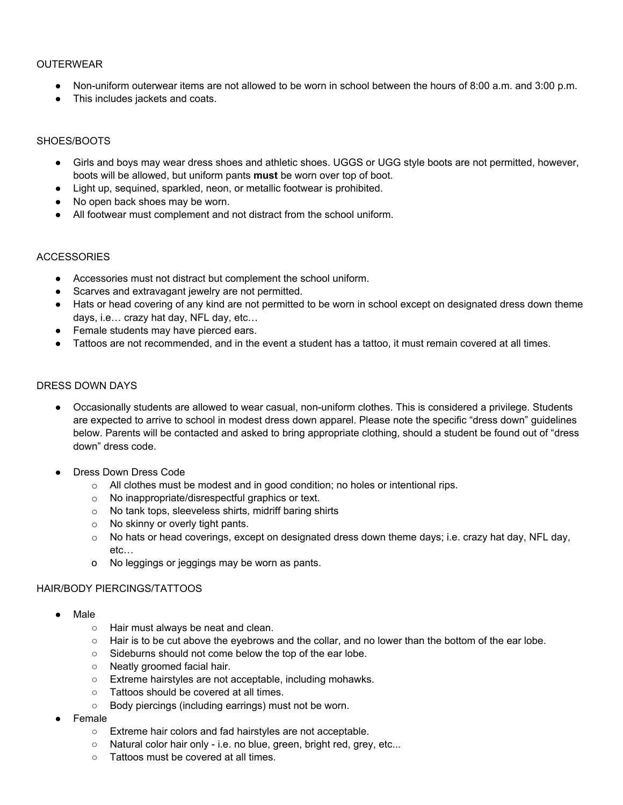# OUTERWEAR

- Non-uniform outerwear items are not allowed to be worn in school between the hours of 8:00 a.m. and 3:00 p.m.
- This includes jackets and coats.

#### SHOES/BOOTS

- Girls and boys may wear dress shoes and athletic shoes. UGGS or UGG style boots are not permitted, however, boots will be allowed, but uniform pants **must** be worn over top of boot.
- Light up, sequined, sparkled, neon, or metallic footwear is prohibited.
- No open back shoes may be worn.
- All footwear must complement and not distract from the school uniform.

# **ACCESSORIES**

- Accessories must not distract but complement the school uniform.
- Scarves and extravagant jewelry are not permitted.
- Hats or head covering of any kind are not permitted to be worn in school except on designated dress down theme days, i.e… crazy hat day, NFL day, etc…
- Female students may have pierced ears.
- Tattoos are not recommended, and in the event a student has a tattoo, it must remain covered at all times.

# DRESS DOWN DAYS

- Occasionally students are allowed to wear casual, non-uniform clothes. This is considered a privilege. Students are expected to arrive to school in modest dress down apparel. Please note the specific "dress down" guidelines below. Parents will be contacted and asked to bring appropriate clothing, should a student be found out of "dress down" dress code.
- Dress Down Dress Code
	- $\circ$  All clothes must be modest and in good condition; no holes or intentional rips.
	- o No inappropriate/disrespectful graphics or text.
	- o No tank tops, sleeveless shirts, midriff baring shirts
	- o No skinny or overly tight pants.
	- o No hats or head coverings, except on designated dress down theme days; i.e. crazy hat day, NFL day, etc…
	- o No leggings or jeggings may be worn as pants.

# HAIR/BODY PIERCINGS/TATTOOS

- **Male** 
	- Hair must always be neat and clean.
	- $\circ$  Hair is to be cut above the eyebrows and the collar, and no lower than the bottom of the ear lobe.
	- Sideburns should not come below the top of the ear lobe.
	- Neatly groomed facial hair.
	- Extreme hairstyles are not acceptable, including mohawks.
	- Tattoos should be covered at all times.
	- Body piercings (including earrings) must not be worn.
- Female
	- Extreme hair colors and fad hairstyles are not acceptable.
	- Natural color hair only i.e. no blue, green, bright red, grey, etc...
	- Tattoos must be covered at all times.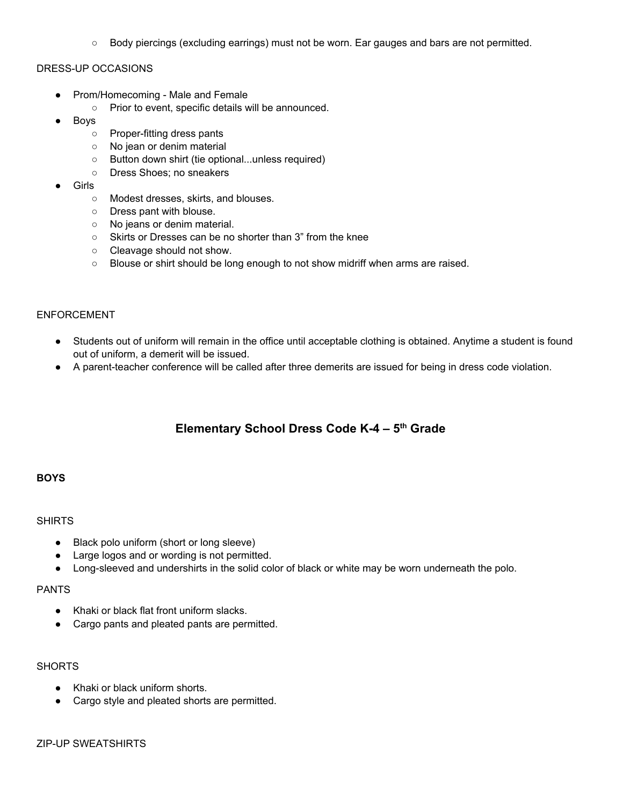○ Body piercings (excluding earrings) must not be worn. Ear gauges and bars are not permitted.

#### DRESS-UP OCCASIONS

- Prom/Homecoming Male and Female
	- Prior to event, specific details will be announced.
- **Boys** 
	- Proper-fitting dress pants
	- No jean or denim material
	- Button down shirt (tie optional...unless required)
	- Dress Shoes; no sneakers
- Girls
	- Modest dresses, skirts, and blouses.
	- Dress pant with blouse.
	- No jeans or denim material.
	- Skirts or Dresses can be no shorter than 3" from the knee
	- Cleavage should not show.
	- Blouse or shirt should be long enough to not show midriff when arms are raised.

#### ENFORCEMENT

- Students out of uniform will remain in the office until acceptable clothing is obtained. Anytime a student is found out of uniform, a demerit will be issued.
- A parent-teacher conference will be called after three demerits are issued for being in dress code violation.

# **Elementary School Dress Code K-4 – 5 th Grade**

# **BOYS**

#### **SHIRTS**

- Black polo uniform (short or long sleeve)
- Large logos and or wording is not permitted.
- Long-sleeved and undershirts in the solid color of black or white may be worn underneath the polo.

#### PANTS

- Khaki or black flat front uniform slacks.
- Cargo pants and pleated pants are permitted.

#### **SHORTS**

- Khaki or black uniform shorts.
- Cargo style and pleated shorts are permitted.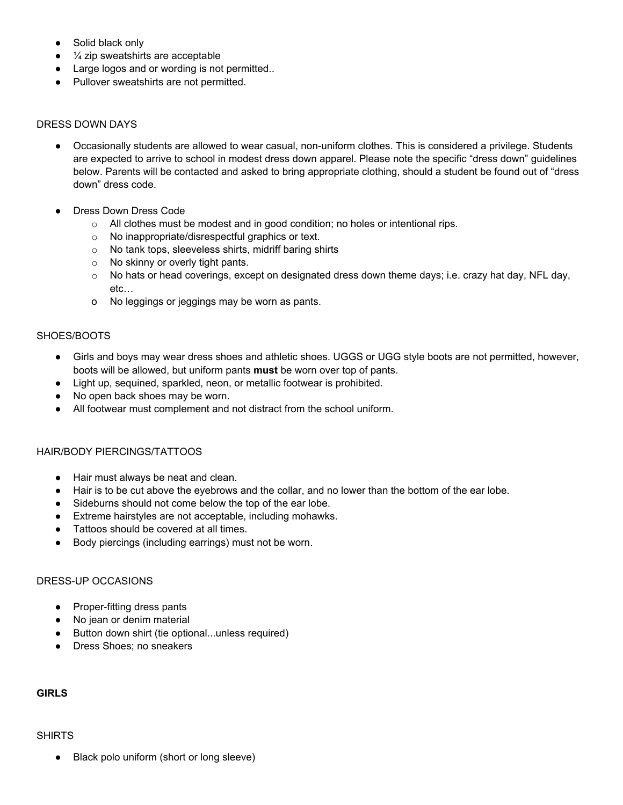- Solid black only
- $\frac{1}{4}$  zip sweatshirts are acceptable
- Large logos and or wording is not permitted..
- Pullover sweatshirts are not permitted.

#### DRESS DOWN DAYS

- Occasionally students are allowed to wear casual, non-uniform clothes. This is considered a privilege. Students are expected to arrive to school in modest dress down apparel. Please note the specific "dress down" guidelines below. Parents will be contacted and asked to bring appropriate clothing, should a student be found out of "dress down" dress code.
- Dress Down Dress Code
	- o All clothes must be modest and in good condition; no holes or intentional rips.
	- o No inappropriate/disrespectful graphics or text.
	- o No tank tops, sleeveless shirts, midriff baring shirts
	- o No skinny or overly tight pants.
	- $\circ$  No hats or head coverings, except on designated dress down theme days; i.e. crazy hat day, NFL day, etc…
	- o No leggings or jeggings may be worn as pants.

#### SHOES/BOOTS

- Girls and boys may wear dress shoes and athletic shoes. UGGS or UGG style boots are not permitted, however, boots will be allowed, but uniform pants **must** be worn over top of pants.
- Light up, sequined, sparkled, neon, or metallic footwear is prohibited.
- No open back shoes may be worn.
- All footwear must complement and not distract from the school uniform.

#### HAIR/BODY PIERCINGS/TATTOOS

- Hair must always be neat and clean.
- Hair is to be cut above the eyebrows and the collar, and no lower than the bottom of the ear lobe.
- Sideburns should not come below the top of the ear lobe.
- Extreme hairstyles are not acceptable, including mohawks.
- Tattoos should be covered at all times.
- Body piercings (including earrings) must not be worn.

# DRESS-UP OCCASIONS

- Proper-fitting dress pants
- No jean or denim material
- Button down shirt (tie optional...unless required)
- Dress Shoes; no sneakers

# **GIRLS**

#### SHIRTS

Black polo uniform (short or long sleeve)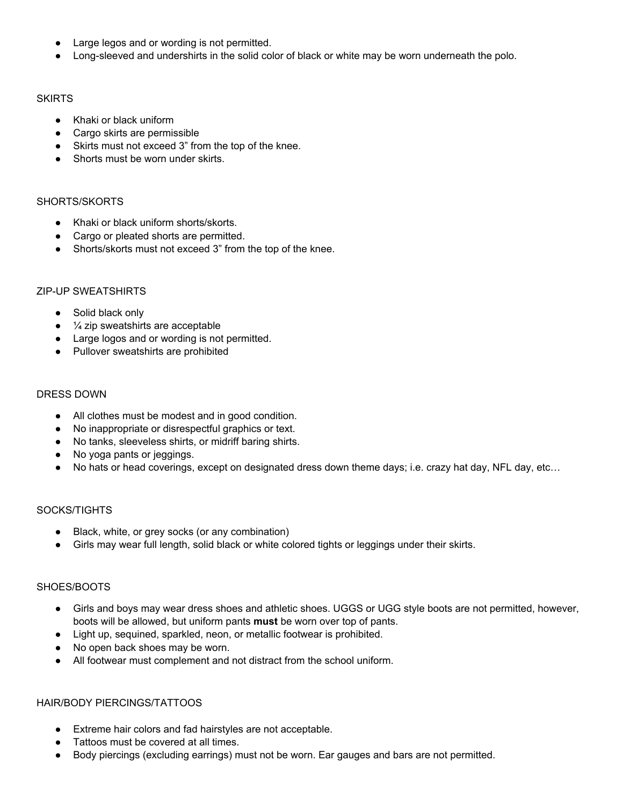- Large legos and or wording is not permitted.
- Long-sleeved and undershirts in the solid color of black or white may be worn underneath the polo.

#### **SKIRTS**

- Khaki or black uniform
- Cargo skirts are permissible
- Skirts must not exceed 3" from the top of the knee.
- Shorts must be worn under skirts.

# SHORTS/SKORTS

- Khaki or black uniform shorts/skorts.
- Cargo or pleated shorts are permitted.
- Shorts/skorts must not exceed 3" from the top of the knee.

# ZIP-UP SWEATSHIRTS

- Solid black only
- $\bullet$   $\frac{1}{4}$  zip sweatshirts are acceptable
- Large logos and or wording is not permitted.
- Pullover sweatshirts are prohibited

# DRESS DOWN

- All clothes must be modest and in good condition.
- No inappropriate or disrespectful graphics or text.
- No tanks, sleeveless shirts, or midriff baring shirts.
- No yoga pants or jeggings.
- No hats or head coverings, except on designated dress down theme days; i.e. crazy hat day, NFL day, etc…

# SOCKS/TIGHTS

- Black, white, or grey socks (or any combination)
- Girls may wear full length, solid black or white colored tights or leggings under their skirts.

# SHOES/BOOTS

- Girls and boys may wear dress shoes and athletic shoes. UGGS or UGG style boots are not permitted, however, boots will be allowed, but uniform pants **must** be worn over top of pants.
- Light up, sequined, sparkled, neon, or metallic footwear is prohibited.
- No open back shoes may be worn.
- All footwear must complement and not distract from the school uniform.

# HAIR/BODY PIERCINGS/TATTOOS

- Extreme hair colors and fad hairstyles are not acceptable.
- Tattoos must be covered at all times.
- Body piercings (excluding earrings) must not be worn. Ear gauges and bars are not permitted.